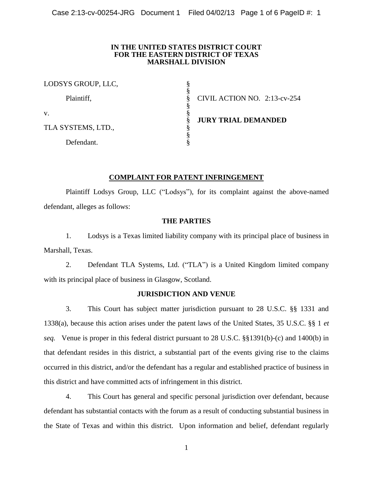### **IN THE UNITED STATES DISTRICT COURT FOR THE EASTERN DISTRICT OF TEXAS MARSHALL DIVISION**

| LODSYS GROUP, LLC, |                              |
|--------------------|------------------------------|
| Plaintiff,         | CIVIL ACTION NO. 2:13-cv-254 |
| V.                 |                              |
| TLA SYSTEMS, LTD., | <b>JURY TRIAL DEMANDED</b>   |
| Defendant.         |                              |

# **COMPLAINT FOR PATENT INFRINGEMENT**

Plaintiff Lodsys Group, LLC ("Lodsys"), for its complaint against the above-named defendant, alleges as follows:

## **THE PARTIES**

1. Lodsys is a Texas limited liability company with its principal place of business in Marshall, Texas.

2. Defendant TLA Systems, Ltd. ("TLA") is a United Kingdom limited company with its principal place of business in Glasgow, Scotland.

## **JURISDICTION AND VENUE**

3. This Court has subject matter jurisdiction pursuant to 28 U.S.C. §§ 1331 and 1338(a), because this action arises under the patent laws of the United States, 35 U.S.C. §§ 1 *et seq.* Venue is proper in this federal district pursuant to 28 U.S.C. §§1391(b)-(c) and 1400(b) in that defendant resides in this district, a substantial part of the events giving rise to the claims occurred in this district, and/or the defendant has a regular and established practice of business in this district and have committed acts of infringement in this district.

4. This Court has general and specific personal jurisdiction over defendant, because defendant has substantial contacts with the forum as a result of conducting substantial business in the State of Texas and within this district. Upon information and belief, defendant regularly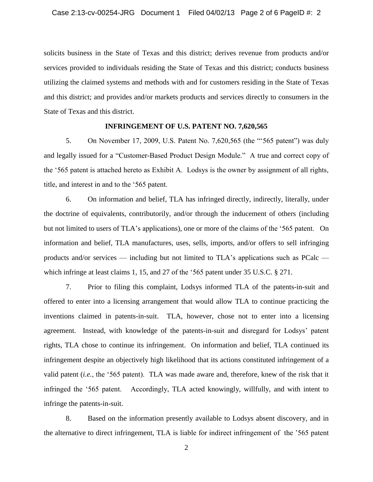solicits business in the State of Texas and this district; derives revenue from products and/or services provided to individuals residing the State of Texas and this district; conducts business utilizing the claimed systems and methods with and for customers residing in the State of Texas and this district; and provides and/or markets products and services directly to consumers in the State of Texas and this district.

#### **INFRINGEMENT OF U.S. PATENT NO. 7,620,565**

5. On November 17, 2009, U.S. Patent No. 7,620,565 (the "'565 patent") was duly and legally issued for a "Customer-Based Product Design Module." A true and correct copy of the '565 patent is attached hereto as Exhibit A. Lodsys is the owner by assignment of all rights, title, and interest in and to the '565 patent.

6. On information and belief, TLA has infringed directly, indirectly, literally, under the doctrine of equivalents, contributorily, and/or through the inducement of others (including but not limited to users of TLA's applications), one or more of the claims of the '565 patent. On information and belief, TLA manufactures, uses, sells, imports, and/or offers to sell infringing products and/or services — including but not limited to TLA's applications such as PCalc which infringe at least claims 1, 15, and 27 of the '565 patent under 35 U.S.C. § 271.

7. Prior to filing this complaint, Lodsys informed TLA of the patents-in-suit and offered to enter into a licensing arrangement that would allow TLA to continue practicing the inventions claimed in patents-in-suit. TLA, however, chose not to enter into a licensing agreement. Instead, with knowledge of the patents-in-suit and disregard for Lodsys' patent rights, TLA chose to continue its infringement. On information and belief, TLA continued its infringement despite an objectively high likelihood that its actions constituted infringement of a valid patent (*i.e.*, the '565 patent). TLA was made aware and, therefore, knew of the risk that it infringed the '565 patent. Accordingly, TLA acted knowingly, willfully, and with intent to infringe the patents-in-suit.

8. Based on the information presently available to Lodsys absent discovery, and in the alternative to direct infringement, TLA is liable for indirect infringement of the '565 patent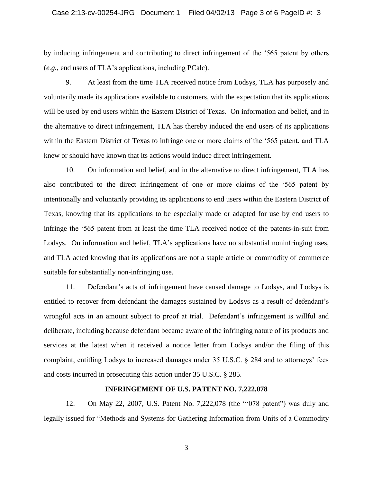by inducing infringement and contributing to direct infringement of the '565 patent by others (*e.g.*, end users of TLA's applications, including PCalc).

9. At least from the time TLA received notice from Lodsys, TLA has purposely and voluntarily made its applications available to customers, with the expectation that its applications will be used by end users within the Eastern District of Texas. On information and belief, and in the alternative to direct infringement, TLA has thereby induced the end users of its applications within the Eastern District of Texas to infringe one or more claims of the '565 patent, and TLA knew or should have known that its actions would induce direct infringement.

10. On information and belief, and in the alternative to direct infringement, TLA has also contributed to the direct infringement of one or more claims of the '565 patent by intentionally and voluntarily providing its applications to end users within the Eastern District of Texas, knowing that its applications to be especially made or adapted for use by end users to infringe the '565 patent from at least the time TLA received notice of the patents-in-suit from Lodsys. On information and belief, TLA's applications have no substantial noninfringing uses, and TLA acted knowing that its applications are not a staple article or commodity of commerce suitable for substantially non-infringing use.

11. Defendant's acts of infringement have caused damage to Lodsys, and Lodsys is entitled to recover from defendant the damages sustained by Lodsys as a result of defendant's wrongful acts in an amount subject to proof at trial. Defendant's infringement is willful and deliberate, including because defendant became aware of the infringing nature of its products and services at the latest when it received a notice letter from Lodsys and/or the filing of this complaint, entitling Lodsys to increased damages under 35 U.S.C. § 284 and to attorneys' fees and costs incurred in prosecuting this action under 35 U.S.C. § 285.

## **INFRINGEMENT OF U.S. PATENT NO. 7,222,078**

12. On May 22, 2007, U.S. Patent No. 7,222,078 (the "'078 patent") was duly and legally issued for "Methods and Systems for Gathering Information from Units of a Commodity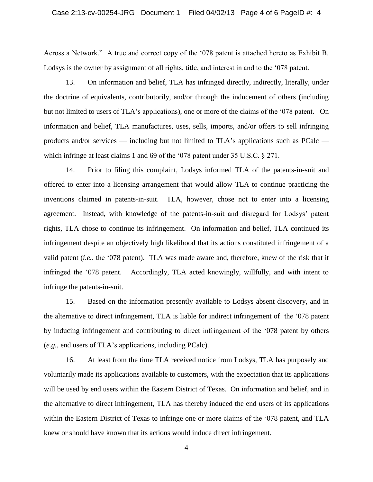Across a Network." A true and correct copy of the '078 patent is attached hereto as Exhibit B. Lodsys is the owner by assignment of all rights, title, and interest in and to the '078 patent.

13. On information and belief, TLA has infringed directly, indirectly, literally, under the doctrine of equivalents, contributorily, and/or through the inducement of others (including but not limited to users of TLA's applications), one or more of the claims of the '078 patent. On information and belief, TLA manufactures, uses, sells, imports, and/or offers to sell infringing products and/or services — including but not limited to TLA's applications such as PCalc which infringe at least claims 1 and 69 of the '078 patent under 35 U.S.C. § 271.

14. Prior to filing this complaint, Lodsys informed TLA of the patents-in-suit and offered to enter into a licensing arrangement that would allow TLA to continue practicing the inventions claimed in patents-in-suit. TLA, however, chose not to enter into a licensing agreement. Instead, with knowledge of the patents-in-suit and disregard for Lodsys' patent rights, TLA chose to continue its infringement. On information and belief, TLA continued its infringement despite an objectively high likelihood that its actions constituted infringement of a valid patent (*i.e.*, the '078 patent). TLA was made aware and, therefore, knew of the risk that it infringed the '078 patent. Accordingly, TLA acted knowingly, willfully, and with intent to infringe the patents-in-suit.

15. Based on the information presently available to Lodsys absent discovery, and in the alternative to direct infringement, TLA is liable for indirect infringement of the '078 patent by inducing infringement and contributing to direct infringement of the '078 patent by others (*e.g.*, end users of TLA's applications, including PCalc).

16. At least from the time TLA received notice from Lodsys, TLA has purposely and voluntarily made its applications available to customers, with the expectation that its applications will be used by end users within the Eastern District of Texas. On information and belief, and in the alternative to direct infringement, TLA has thereby induced the end users of its applications within the Eastern District of Texas to infringe one or more claims of the '078 patent, and TLA knew or should have known that its actions would induce direct infringement.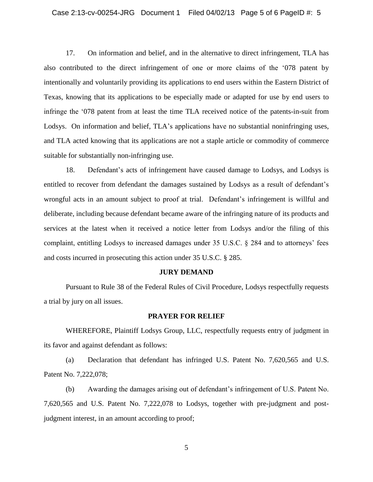17. On information and belief, and in the alternative to direct infringement, TLA has also contributed to the direct infringement of one or more claims of the '078 patent by intentionally and voluntarily providing its applications to end users within the Eastern District of Texas, knowing that its applications to be especially made or adapted for use by end users to infringe the '078 patent from at least the time TLA received notice of the patents-in-suit from Lodsys. On information and belief, TLA's applications have no substantial noninfringing uses, and TLA acted knowing that its applications are not a staple article or commodity of commerce suitable for substantially non-infringing use.

18. Defendant's acts of infringement have caused damage to Lodsys, and Lodsys is entitled to recover from defendant the damages sustained by Lodsys as a result of defendant's wrongful acts in an amount subject to proof at trial. Defendant's infringement is willful and deliberate, including because defendant became aware of the infringing nature of its products and services at the latest when it received a notice letter from Lodsys and/or the filing of this complaint, entitling Lodsys to increased damages under 35 U.S.C. § 284 and to attorneys' fees and costs incurred in prosecuting this action under 35 U.S.C. § 285.

#### **JURY DEMAND**

Pursuant to Rule 38 of the Federal Rules of Civil Procedure, Lodsys respectfully requests a trial by jury on all issues.

### **PRAYER FOR RELIEF**

WHEREFORE, Plaintiff Lodsys Group, LLC, respectfully requests entry of judgment in its favor and against defendant as follows:

(a) Declaration that defendant has infringed U.S. Patent No. 7,620,565 and U.S. Patent No. 7,222,078;

(b) Awarding the damages arising out of defendant's infringement of U.S. Patent No. 7,620,565 and U.S. Patent No. 7,222,078 to Lodsys, together with pre-judgment and postjudgment interest, in an amount according to proof;